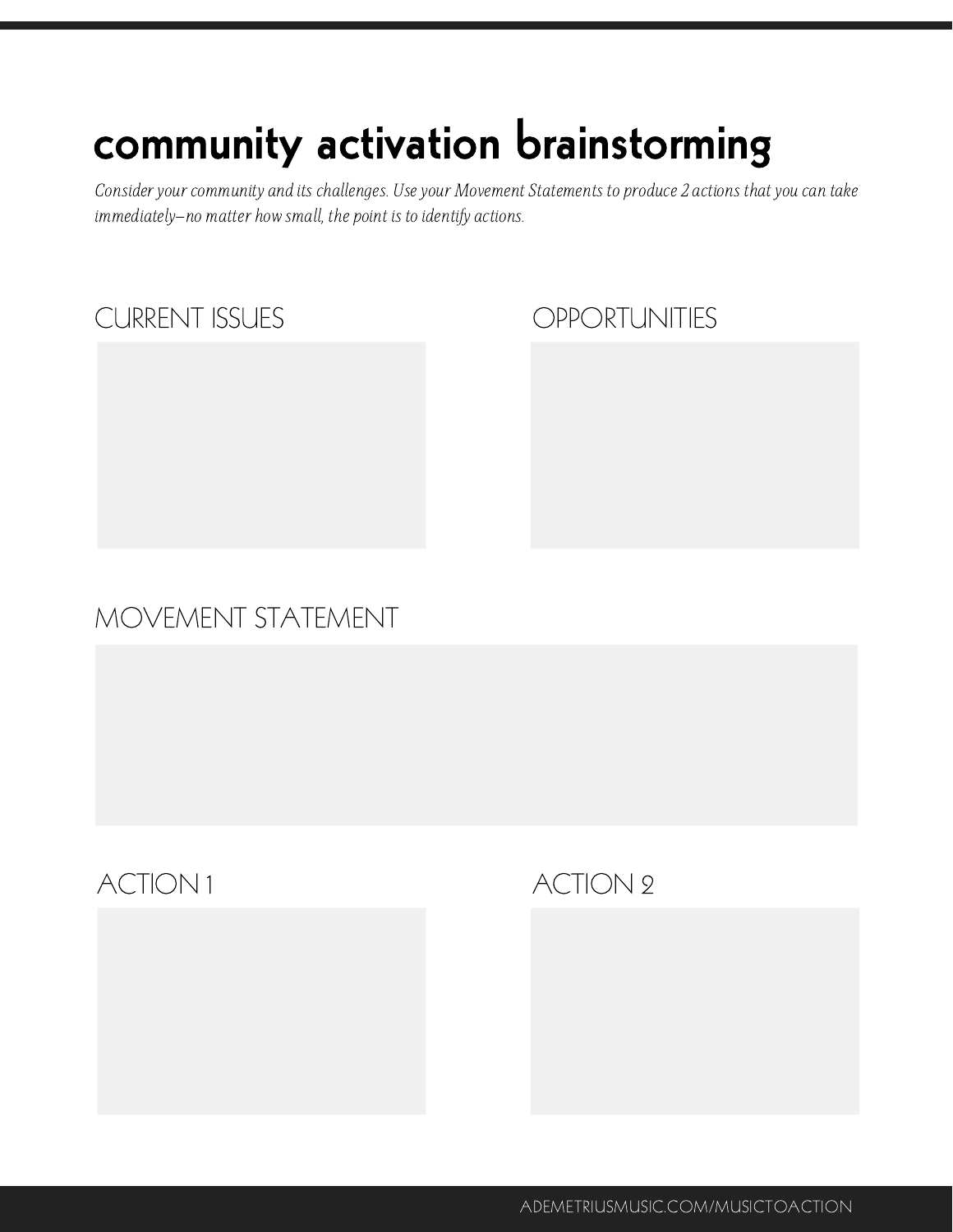## community activation brainstorming

Consider your community and its challenges. Use your Movement Statements to produce 2 actions that you can take immediately—no matter how small, the point is to identify actions.

### CURRENT ISSUES

### **OPPORTUNITIES**

### MOVEMENT STATEMENT

### ACTION 1 ACTION 2

ADEMETRIUSMUSIC.COM/MUSICTOACTION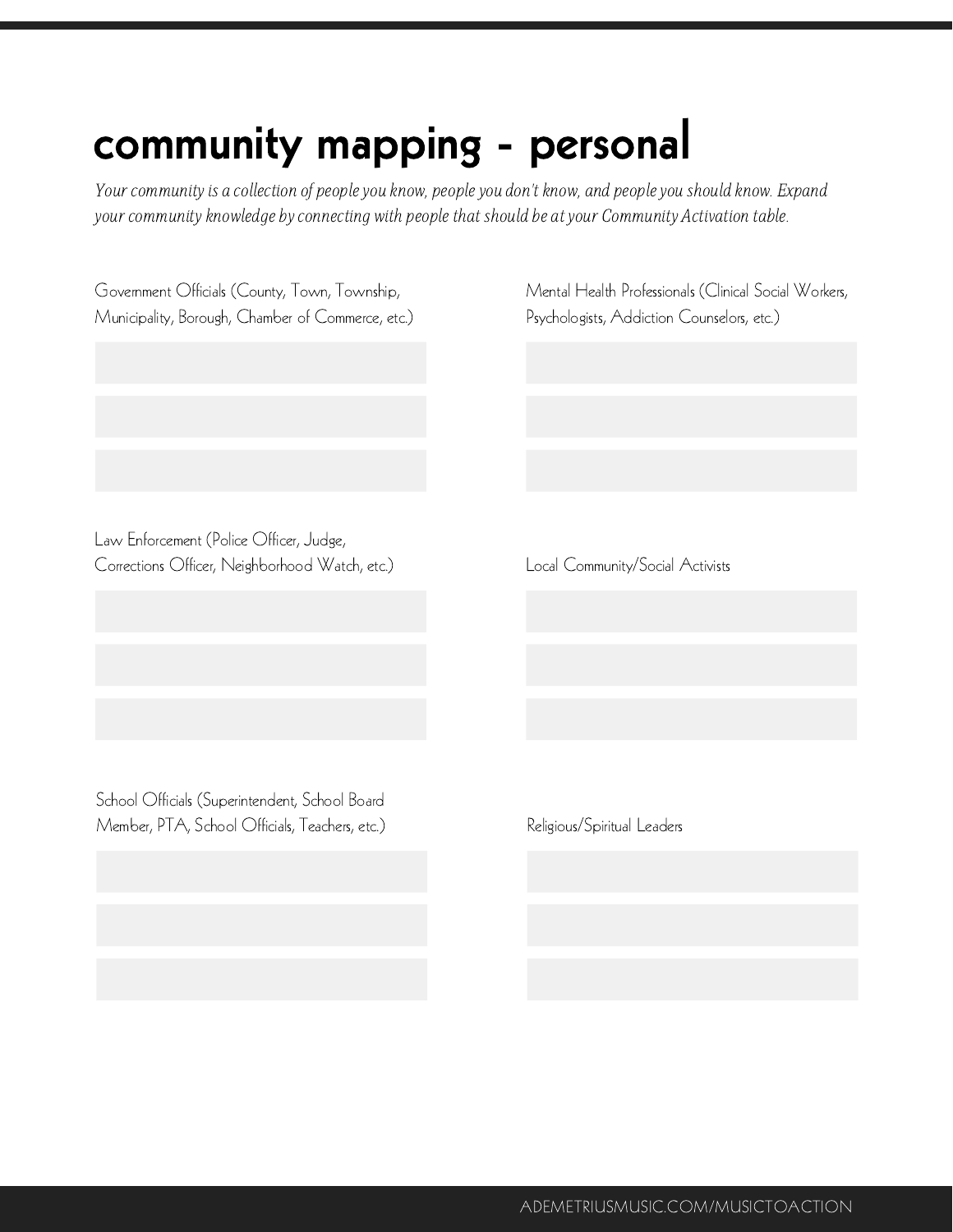## community mapping - personal

Your community is a collection of people you know, people you don't know, and people you should know. Expand your community knowledge by connecting with people that should be at your Community Activation table.

| Government Officials (County, Town, Township,<br>Municipality, Borough, Chamber of Commerce, etc.) | Mental Health Professionals (Clinical Social Workers,<br>Psychologists, Addiction Counselors, etc.) |
|----------------------------------------------------------------------------------------------------|-----------------------------------------------------------------------------------------------------|
|                                                                                                    |                                                                                                     |
|                                                                                                    |                                                                                                     |
|                                                                                                    |                                                                                                     |
| Law Enforcement (Police Officer, Judge,<br>Corrections Officer, Neighborhood Watch, etc.)          | Local Community/Social Activists                                                                    |
|                                                                                                    |                                                                                                     |
|                                                                                                    |                                                                                                     |
|                                                                                                    |                                                                                                     |
| School Officials (Superintendent, School Board<br>Member, PTA, School Officials, Teachers, etc.)   | Religious/Spiritual Leaders                                                                         |
|                                                                                                    |                                                                                                     |
|                                                                                                    |                                                                                                     |

ADEMETRIUSMUSIC.COM/MUSICTOACTION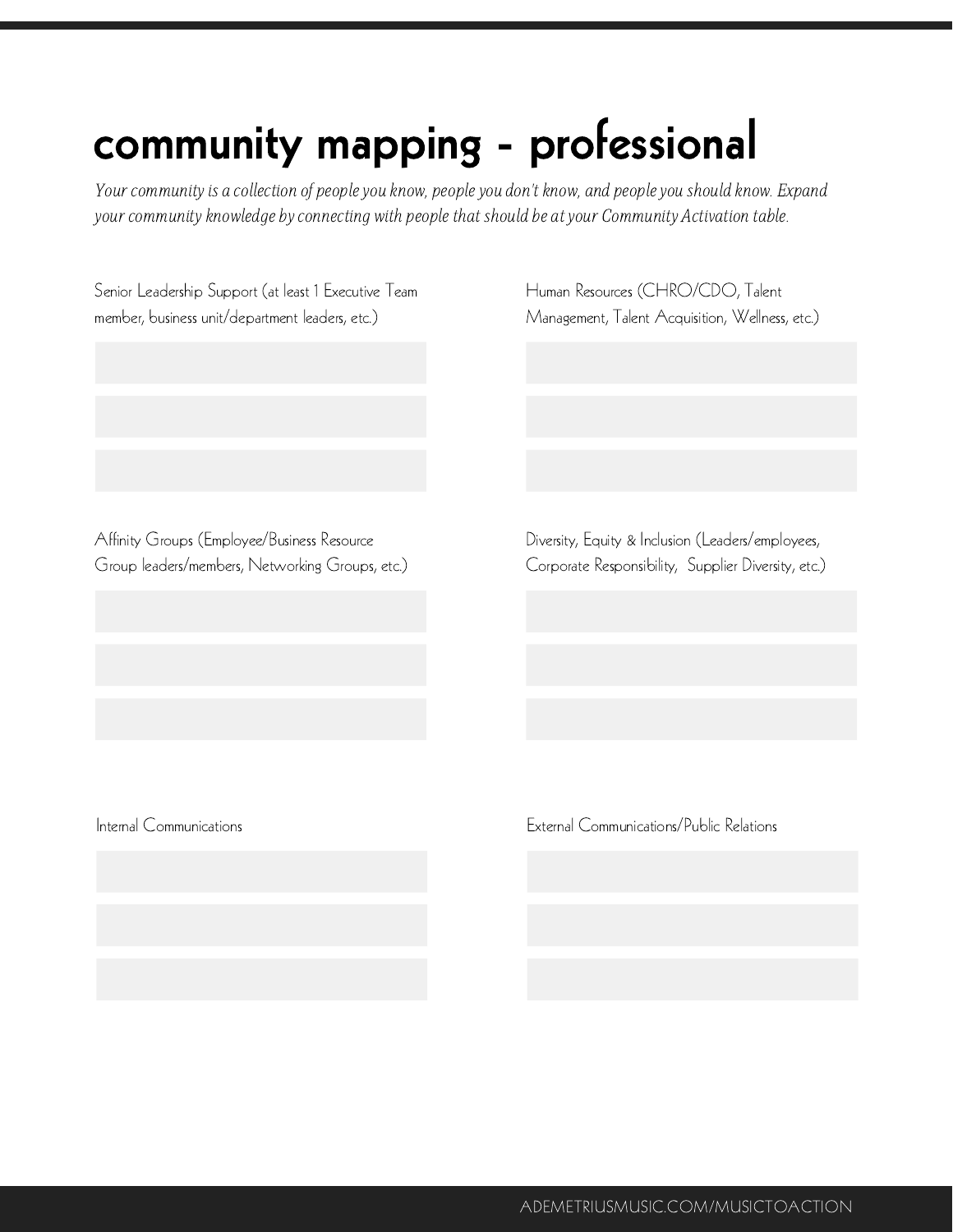## community mapping - professional

Your community is a collection of people you know, people you don't know, and people you should know. Expand your community knowledge by connecting with people that should be at your Community Activation table.

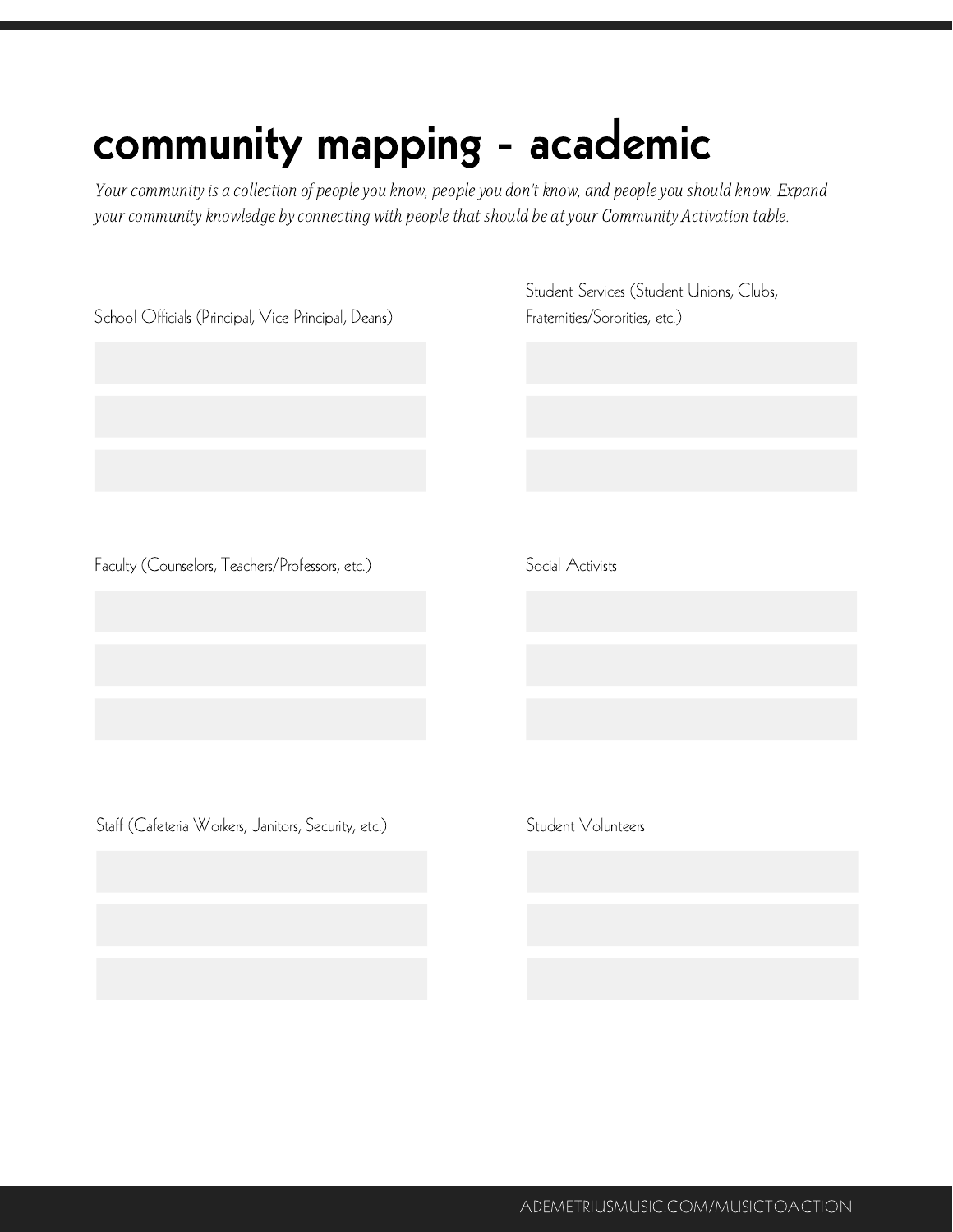## community mapping - academic

Your community is a collection of people you know, people you don't know, and people you should know. Expand your community knowledge by connecting with people that should be at your Community Activation table.

| School Officials (Principal, Vice Principal, Deans) | Student Services (Student Unions, Clubs,<br>Fraternities/Sororities, etc.) |  |  |
|-----------------------------------------------------|----------------------------------------------------------------------------|--|--|
|                                                     |                                                                            |  |  |
| Faculty (Counselors, Teachers/Professors, etc.)     | Social Activists                                                           |  |  |
|                                                     |                                                                            |  |  |
|                                                     |                                                                            |  |  |
| Staff (Cafeteria Workers, Janitors, Security, etc.) | Student Volunteers                                                         |  |  |
|                                                     |                                                                            |  |  |
|                                                     |                                                                            |  |  |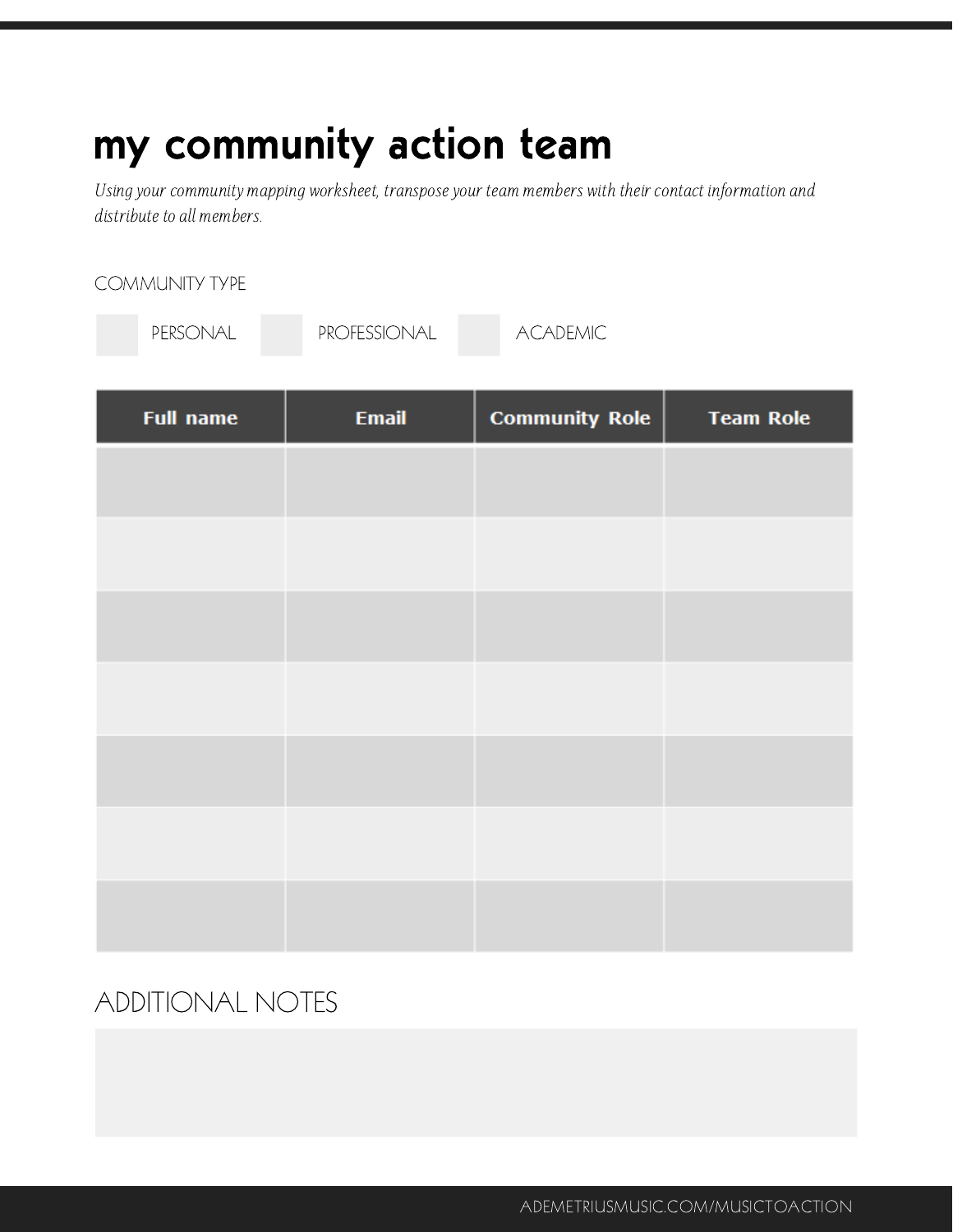### my community action team

Using your community mapping worksheet, transposeyour team members with their contact information and distribute to all members.

| PERSONAL         | PROFESSIONAL | <b>ACADEMIC</b>       |                  |
|------------------|--------------|-----------------------|------------------|
| <b>Full name</b> | <b>Email</b> | <b>Community Role</b> | <b>Team Role</b> |
|                  |              |                       |                  |
|                  |              |                       |                  |
|                  |              |                       |                  |
|                  |              |                       |                  |
|                  |              |                       |                  |
|                  |              |                       |                  |
|                  |              |                       |                  |

### ADDITIONAL NOTES

COMMUNITY TYPE

ADEMETRIUSMUSIC.COM/MUSICTOACTION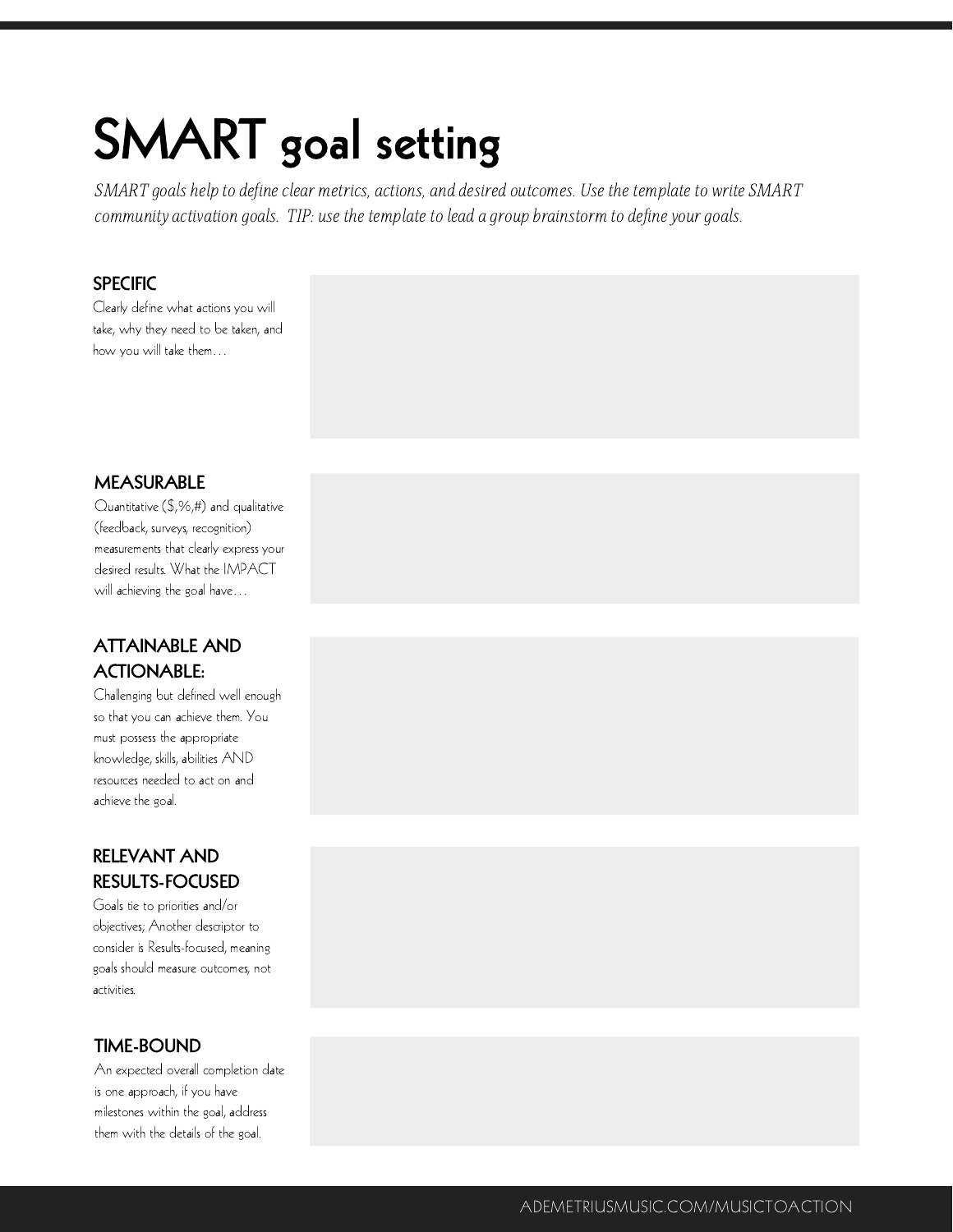# SMART goal setting

SMART goals help to define clear metrics, actions, and desired outcomes. Use the template to write SMART community activation goals. TIP: use the template to lead a group brainstorm to define your goals.

#### **SPECIFIC**

Clearly define what actions you will take, why they need to be taken, and how you will take them…

#### MEASURABLE

Quantitative (\$,%,#) and qualitative (feedback, surveys, recognition) measurements that clearly express your desired results. What the IMPACT will achieving the goal have…

#### ATTAINABLE AND ACTIONABLE:

Challenging but defined well enough so that you can achieve them. You must possess the appropriate knowledge, skills, abilities AND resources needed to act on and achieve the goal.

#### RELEVANT AND RESULTS-FOCUSED

Goals tie to priorities and/or objectives; Another descriptor to consider is Results-focused, meaning goals should measure outcomes, not activities.

#### TIME-BOUND

An expected overall completion date is one approach, if you have milestones within the goal, address them with the details of the goal.